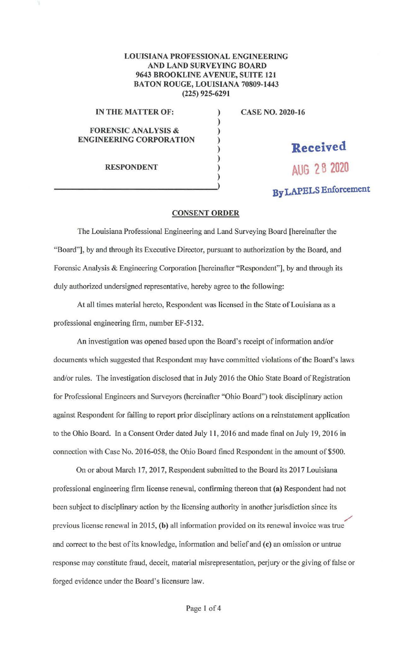## LOUISIANA PROFESSIONAL ENGINEERING AND LAND SURVEYING BOARD 9643 BROOKLINE AVENUE, SUITE 121 BATON ROUGE, LOUISIANA 70809-1443 (225) 925-6291

) ) ) ) ) ) )

## IN THE MATTER OF:

FORENSIC ANALYSIS & ENGINEERING CORPORATION

RESPONDENT

CASE NO. 2020-16

**Received AUG 28 2020** 

**By LAPELS** Enforcement

## **CONSENT ORDER**

The Louisiana Professional Engineering and Land Surveying Board [hereinafter the "Board"], by and through its Executive Director, pursuant to authorization by the Board, and Forensic Analysis & Engineering Corporation [hereinafter "Respondent"], by and through its duly authorized undersigned representative, hereby agree to the following:

At all times material hereto, Respondent was licensed in the State of Louisiana as a professional engineering firm, number EF-5132.

An investigation was opened based upon the Board's receipt of information and/or documents which suggested that Respondent may have committed violations of the Board's laws and/or rules. The investigation disclosed that in July 2016 the Ohio State Board of Registration for Professional Engineers and Surveyors (hereinafter "Ohio Board") took disciplinary action against Respondent for failing to report prior disciplinary actions on a reinstatement application to the Ohio Board. In a Consent Order dated July 11 , 2016 and made final on July 19, 2016 in connection with Case No. 2016-058, the Ohio Board fined Respondent in the amount of \$500.

On or about March 17, 2017, Respondent submitted to the Board its 2017 Louisiana professional engineering firm license renewal, confirming thereon that (a) Respondent had not been subject to disciplinary action by the licensing authority in another jurisdiction since its / previous license renewal in 2015, (b) all information provided on its renewal invoice was true and correct to the best of its knowledge, information and belief and (c) an omission or untrue response may constitute fraud, deceit, material misrepresentation, perjury or the giving of false or forged evidence under the Board's licensure law.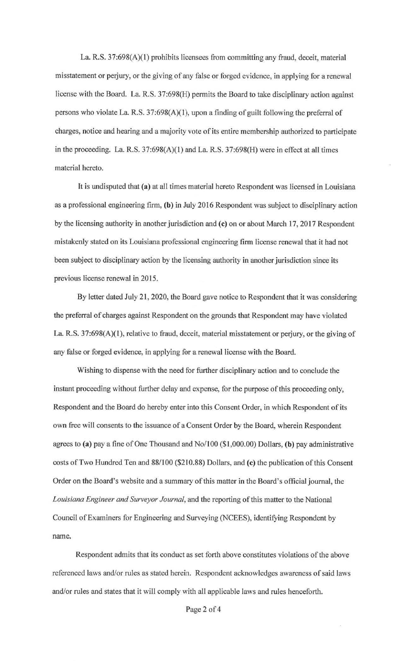La. R.S. 37:698(A)(l) prohibits licensees from committing any fraud, deceit, material misstatement or perjury, or the giving of any false or forged evidence, in applying for a renewal license with the Board. La. R.S. 37:698(H) permits the Board to take disciplinary action against persons who violate La. R.S. 37:698(A)(l), upon a finding of guilt following the preferral of charges, notice and hearing and a majority vote of its entire membership authorized to participate in the proceeding. La. R.S.  $37:698(A)(1)$  and La. R.S.  $37:698(H)$  were in effect at all times material hereto.

It is undisputed that **(a)** at all times material hereto Respondent was licensed in Louisiana as a professional engineering firm, **(b)** in July 2016 Respondent was subject to disciplinary action by the licensing authority in another jurisdiction and (c) on or about March 17, 2017 Respondent mistakenly stated on its Louisiana professional engineering firm license renewal that it had not been subject to disciplinary action by the licensing authority in another jurisdiction since its previous license renewal in 2015.

By letter dated July 21, 2020, the Board gave notice to Respondent that it was considering the preferral of charges against Respondent on the grounds that Respondent may have violated La R.S. 37:698(A)(l), relative to fraud, deceit, material misstatement or perjury, or the giving of any false or forged evidence, in applying for a renewal license with the Board.

Wishing to dispense with the need for further disciplinary action and to conclude the instant proceeding without further delay and expense, for the purpose of this proceeding only, Respondent and the Board do hereby enter into this Consent Order, in which Respondent of its own free will consents to the issuance of a Consent Order by the Board, wherein Respondent agrees to **(a)** pay a fine of One Thousand and No/100 (\$1,000.00) Dollars, **(b)** pay administrative costs of Two Hundred Ten and 88/100 (\$210.88) Dollars, and (c) the publication of this Consent Order on the Board's website and a summary of this matter in the Board's official journal, the *Louisiana Engineer and Surveyor Journal,* and the reporting of this matter to the National Council of Examiners for Engineering and Surveying (NCEES), identifying Respondent by name.

Respondent admits that its conduct as set forth above constitutes violations of the above referenced laws and/or rules as stated herein. Respondent acknowledges awareness of said laws and/or rules and states that it will comply with all applicable laws and rules henceforth.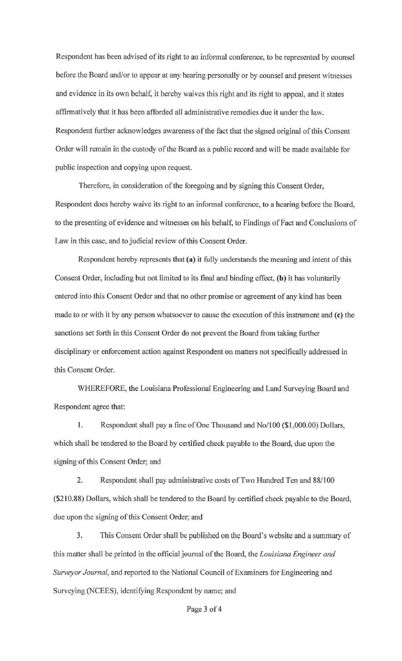Respondent has been advised of its right to an informal conference, to be represented by counsel before the Board and/or to appear at any hearing personally or by counsel and present witnesses and evidence in its own behalf, it hereby waives this right and its right to appeal, and it states affirmatively that it has been afforded all administrative remedies due it under the law. Respondent further acknowledges awareness of the fact that the signed original of this Consent Order will remain in the custody of the Board as a public record and will be made available for public inspection and copying upon request.

Therefore, in consideration of the foregoing and by signing this Consent Order, Respondent does hereby waive its right to an informal conference, to a hearing before the Board, to the presenting of evidence and witnesses on his behalf, to Findings of Fact and Conclusions of Law in this case, and to judicial review of this Consent Order.

Respondent hereby represents that **(a)** it fully understands the meaning and intent of this Consent Order, including but not limited to its final and binding effect, **(b)** it has voluntarily entered into this Consent Order and that no other promise or agreement of any kind has been made to or with it by any person whatsoever to cause the execution of this instrument and **(c)** the sanctions set forth in this Consent Order do not prevent the Board from taking further disciplinary or enforcement action against Respondent on matters not specifically addressed in this Consent Order.

WHEREFORE, the Louisiana Professional Engineering and Land Surveying Board and Respondent agree that:

1. Respondent shall pay a fine of One Thousand and No/100 (\$1 ,000.00) Dollars, which shall be tendered to the Board by certified check payable to the Board, due upon the signing of this Consent Order; and

2. Respondent shall pay administrative costs of Two Hundred Ten and 88/100 (\$210.88) Dollars, which shall be tendered to the Board by certified check payable to the Board, due upon the signing of this Consent Order; and

3. This Consent Order shall be published on the Board's website and a summary of this matter shall be printed in the official journal of the Board, the *Louisiana Engineer and Surveyor Journal,* and reported to the National Council of Examiners for Engineering and Surveying (NCEES), identifying Respondent by name; and